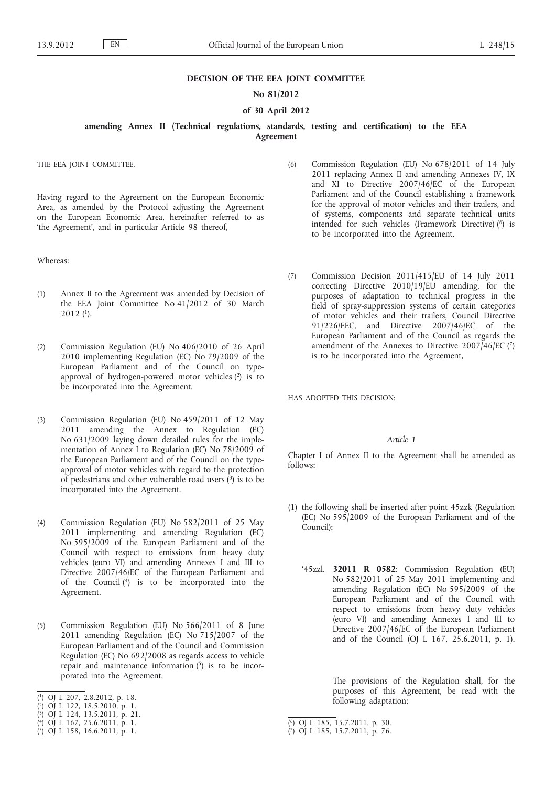### **DECISION OF THE EEA JOINT COMMITTEE**

## **No 81/2012**

## **of 30 April 2012**

**amending Annex II (Technical regulations, standards, testing and certification) to the EEA Agreement**

THE EEA JOINT COMMITTEE,

Having regard to the Agreement on the European Economic Area, as amended by the Protocol adjusting the Agreement on the European Economic Area, hereinafter referred to as 'the Agreement', and in particular Article 98 thereof,

Whereas:

- (1) Annex II to the Agreement was amended by Decision of the EEA Joint Committee No 41/2012 of 30 March  $2012$  (<sup>1</sup>).
- (2) Commission Regulation (EU) No 406/2010 of 26 April 2010 implementing Regulation (EC) No 79/2009 of the European Parliament and of the Council on typeapproval of hydrogen-powered motor vehicles (2) is to be incorporated into the Agreement.
- (3) Commission Regulation (EU) No 459/2011 of 12 May 2011 amending the Annex to Regulation (EC) No 631/2009 laying down detailed rules for the implementation of Annex I to Regulation (EC) No 78/2009 of the European Parliament and of the Council on the typeapproval of motor vehicles with regard to the protection of pedestrians and other vulnerable road users  $(3)$  is to be incorporated into the Agreement.
- (4) Commission Regulation (EU) No 582/2011 of 25 May 2011 implementing and amending Regulation (EC) No 595/2009 of the European Parliament and of the Council with respect to emissions from heavy duty vehicles (euro VI) and amending Annexes I and III to Directive 2007/46/EC of the European Parliament and of the Council  $(4)$  is to be incorporated into the Agreement.
- (5) Commission Regulation (EU) No 566/2011 of 8 June 2011 amending Regulation (EC) No 715/2007 of the European Parliament and of the Council and Commission Regulation (EC) No 692/2008 as regards access to vehicle repair and maintenance information  $(5)$  is to be incorporated into the Agreement.
- ( 1) OJ L 207, 2.8.2012, p. 18.
- ( 2) OJ L 122, 18.5.2010, p. 1.
- ( 3) OJ L 124, 13.5.2011, p. 21.
- ( 4) OJ L 167, 25.6.2011, p. 1.
- ( 5) OJ L 158, 16.6.2011, p. 1.
- (6) Commission Regulation (EU) No 678/2011 of 14 July 2011 replacing Annex II and amending Annexes IV, IX and XI to Directive 2007/46/EC of the European Parliament and of the Council establishing a framework for the approval of motor vehicles and their trailers, and of systems, components and separate technical units intended for such vehicles (Framework Directive) (6) is to be incorporated into the Agreement.
- (7) Commission Decision 2011/415/EU of 14 July 2011 correcting Directive 2010/19/EU amending, for the purposes of adaptation to technical progress in the field of spray-suppression systems of certain categories of motor vehicles and their trailers, Council Directive 91/226/EEC, and Directive 2007/46/EC of the European Parliament and of the Council as regards the amendment of the Annexes to Directive  $2007/46$ /EC (7) is to be incorporated into the Agreement,

HAS ADOPTED THIS DECISION:

#### *Article 1*

Chapter I of Annex II to the Agreement shall be amended as  $f_0$ llows:

- (1) the following shall be inserted after point 45zzk (Regulation (EC) No 595/2009 of the European Parliament and of the Council):
	- '45zzl. **32011 R 0582**: Commission Regulation (EU) No 582/2011 of 25 May 2011 implementing and amending Regulation (EC) No 595/2009 of the European Parliament and of the Council with respect to emissions from heavy duty vehicles (euro VI) and amending Annexes I and III to Directive 2007/46/EC of the European Parliament and of the Council (OJ L 167, 25.6.2011, p. 1).

The provisions of the Regulation shall, for the purposes of this Agreement, be read with the following adaptation:

<sup>(</sup> 6) OJ L 185, 15.7.2011, p. 30.

<sup>(</sup> 7) OJ L 185, 15.7.2011, p. 76.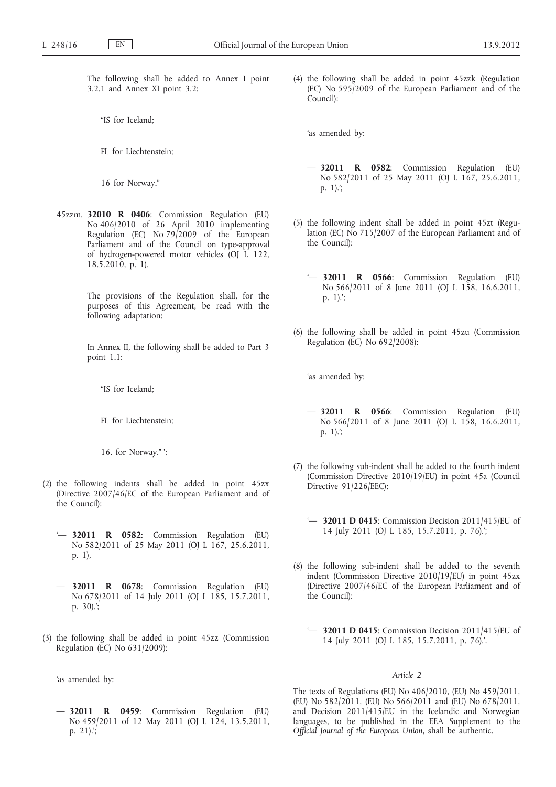The following shall be added to Annex I point 3.2.1 and Annex XI point 3.2:

"IS for Iceland;

FL for Liechtenstein;

16 for Norway."

45zzm. **32010 R 0406**: Commission Regulation (EU) No 406/2010 of 26 April 2010 implementing Regulation (EC) No  $79/2009$  of the European Parliament and of the Council on type-approval of hydrogen-powered motor vehicles (OJ L 122, 18.5.2010, p. 1).

> The provisions of the Regulation shall, for the purposes of this Agreement, be read with the following adaptation:

> In Annex II, the following shall be added to Part 3 point 1.1:

"IS for Iceland;

FL for Liechtenstein;

16. for Norway." ';

- (2) the following indents shall be added in point 45zx (Directive 2007/46/EC of the European Parliament and of the Council):
	- '— **32011 R 0582**: Commission Regulation (EU) No 582/2011 of 25 May 2011 (OJ L 167, 25.6.2011, p. 1),
	- — **32011 R 0678**: Commission Regulation (EU) No 678/2011 of 14 July 2011 (OJ L 185, 15.7.2011, p. 30).';
- (3) the following shall be added in point 45zz (Commission Regulation (EC) No 631/2009):

'as amended by:

— **32011 R 0459**: Commission Regulation (EU) No 459/2011 of 12 May 2011 (OJ L 124, 13.5.2011, p. 21).';

(4) the following shall be added in point 45zzk (Regulation (EC) No 595/2009 of the European Parliament and of the Council):

'as amended by:

- — **32011 R 0582**: Commission Regulation (EU) No 582/2011 of 25 May 2011 (OJ L 167, 25.6.2011, p. 1).';
- (5) the following indent shall be added in point 45zt (Regulation (EC) No 715/2007 of the European Parliament and of the Council):
	- '— **32011 R 0566**: Commission Regulation (EU) No 566/2011 of 8 June 2011 (OJ L 158, 16.6.2011, p. 1).';
- (6) the following shall be added in point 45zu (Commission Regulation (EC) No 692/2008):

'as amended by:

- — **32011 R 0566**: Commission Regulation (EU) No 566/2011 of 8 June 2011 (OJ L 158, 16.6.2011, p. 1).';
- (7) the following sub-indent shall be added to the fourth indent (Commission Directive 2010/19/EU) in point 45a (Council Directive 91/226/EEC):
	- '— **32011 D 0415**: Commission Decision 2011/415/EU of 14 July 2011 (OJ L 185, 15.7.2011, p. 76).';
- (8) the following sub-indent shall be added to the seventh indent (Commission Directive 2010/19/EU) in point 45zx (Directive 2007/46/EC of the European Parliament and of the Council):
	- '— **32011 D 0415**: Commission Decision 2011/415/EU of 14 July 2011 (OJ L 185, 15.7.2011, p. 76).'.

#### *Article 2*

The texts of Regulations (EU) No 406/2010, (EU) No 459/2011, (EU) No 582/2011, (EU) No 566/2011 and (EU) No 678/2011, and Decision 2011/415/EU in the Icelandic and Norwegian languages, to be published in the EEA Supplement to the *Official Journal of the European Union*, shall be authentic.